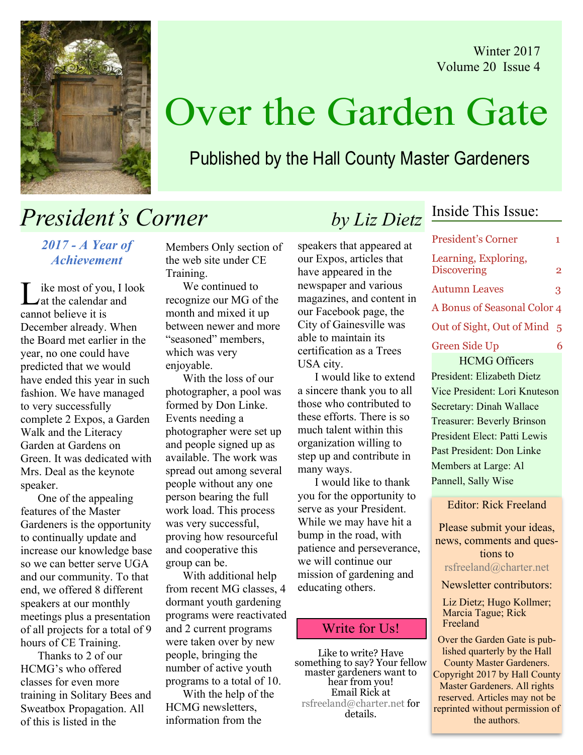Winter 2017 Volume 20 Issue 4



# Over the Garden Gate

### Published by the Hall County Master Gardeners

## President's Corner by Liz Dietz

2017 - A Year of Achievement

ike most of you, I look at the calendar and cannot believe it is December already. When the Board met earlier in the year, no one could have predicted that we would have ended this year in such fashion. We have managed to very successfully complete 2 Expos, a Garden Walk and the Literacy Garden at Gardens on Green. It was dedicated with Mrs. Deal as the keynote speaker.

One of the appealing features of the Master Gardeners is the opportunity to continually update and increase our knowledge base so we can better serve UGA and our community. To that end, we offered 8 different speakers at our monthly meetings plus a presentation of all projects for a total of 9 hours of CE Training.

 Thanks to 2 of our HCMG's who offered classes for even more training in Solitary Bees and Sweatbox Propagation. All of this is listed in the

Members Only section of the web site under CE Training.

We continued to recognize our MG of the month and mixed it up between newer and more "seasoned" members, which was very enjoyable.

With the loss of our photographer, a pool was formed by Don Linke. Events needing a photographer were set up and people signed up as available. The work was spread out among several people without any one person bearing the full work load. This process was very successful, proving how resourceful and cooperative this group can be.

With additional help from recent MG classes, 4 dormant youth gardening programs were reactivated and 2 current programs were taken over by new people, bringing the number of active youth programs to a total of 10.

With the help of the HCMG newsletters, information from the

speakers that appeared at our Expos, articles that have appeared in the newspaper and various magazines, and content in our Facebook page, the City of Gainesville was able to maintain its certification as a Trees USA city.

I would like to extend a sincere thank you to all those who contributed to these efforts. There is so much talent within this organization willing to step up and contribute in many ways.

I would like to thank you for the opportunity to serve as your President. While we may have hit a bump in the road, with patience and perseverance, we will continue our mission of gardening and educating others.

#### Write for Us!

Like to write? Have something to say? Your fellow master gardeners want to hear from you! Email Rick at rsfreeland@charter.net for details.

### Inside This Issue:

| <b>President's Corner</b>                  | 1              |
|--------------------------------------------|----------------|
| Learning, Exploring,<br><b>Discovering</b> | $\overline{2}$ |
| <b>Autumn Leaves</b>                       | 3              |
| A Bonus of Seasonal Color 4                |                |
| Out of Sight, Out of Mind                  | 5              |
| <b>Green Side Up</b>                       | 6              |
| <b>HCMG Officers</b>                       |                |
| President: Elizabeth Dietz                 |                |
| Vice President: Lori Knuteson              |                |

Secretary: Dinah Wallace Treasurer: Beverly Brinson President Elect: Patti Lewis Past President: Don Linke Members at Large: Al Pannell, Sally Wise

Editor: Rick Freeland

Please submit your ideas, news, comments and questions to rsfreeland@charter.net

Newsletter contributors:

Liz Dietz; Hugo Kollmer; Marcia Tague; Rick Freeland

Over the Garden Gate is published quarterly by the Hall County Master Gardeners. Copyright 2017 by Hall County Master Gardeners. All rights reserved. Articles may not be reprinted without permission of the authors.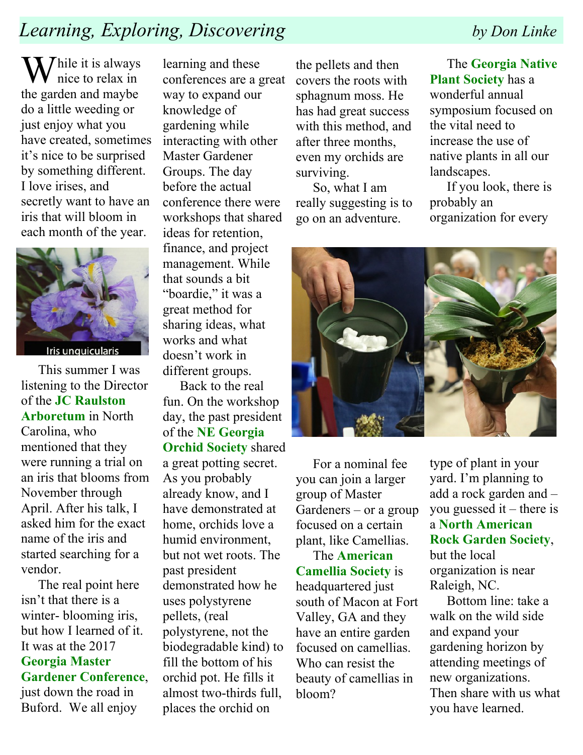## Learning, Exploring, Discovering by Don Linke

 $\sum$  hile it is always nice to relax in the garden and maybe do a little weeding or just enjoy what you have created, sometimes it's nice to be surprised by something different. I love irises, and secretly want to have an iris that will bloom in each month of the year.



Iris unguicularis

This summer I was listening to the Director of the JC Raulston Arboretum in North Carolina, who mentioned that they were running a trial on an iris that blooms from November through April. After his talk, I asked him for the exact name of the iris and started searching for a vendor.

The real point here isn't that there is a winter- blooming iris, but how I learned of it. It was at the 2017 Georgia Master Gardener Conference, just down the road in Buford. We all enjoy

learning and these conferences are a great way to expand our knowledge of gardening while interacting with other Master Gardener Groups. The day before the actual conference there were workshops that shared ideas for retention, finance, and project management. While that sounds a bit "boardie," it was a great method for sharing ideas, what works and what doesn't work in different groups.

Back to the real fun. On the workshop day, the past president of the NE Georgia Orchid Society shared a great potting secret. As you probably already know, and I have demonstrated at home, orchids love a humid environment, but not wet roots. The past president demonstrated how he uses polystyrene pellets, (real polystyrene, not the biodegradable kind) to fill the bottom of his orchid pot. He fills it almost two-thirds full, places the orchid on

the pellets and then covers the roots with sphagnum moss. He has had great success with this method, and after three months, even my orchids are surviving.

So, what I am really suggesting is to go on an adventure.

The Georgia Native Plant Society has a wonderful annual symposium focused on the vital need to increase the use of native plants in all our landscapes.

If you look, there is probably an organization for every



For a nominal fee you can join a larger group of Master Gardeners – or a group focused on a certain plant, like Camellias.

The American Camellia Society is headquartered just south of Macon at Fort Valley, GA and they have an entire garden focused on camellias. Who can resist the beauty of camellias in bloom?

type of plant in your yard. I'm planning to add a rock garden and – you guessed it – there is a North American Rock Garden Society, but the local organization is near Raleigh, NC.

Bottom line: take a walk on the wild side and expand your gardening horizon by attending meetings of new organizations. Then share with us what you have learned.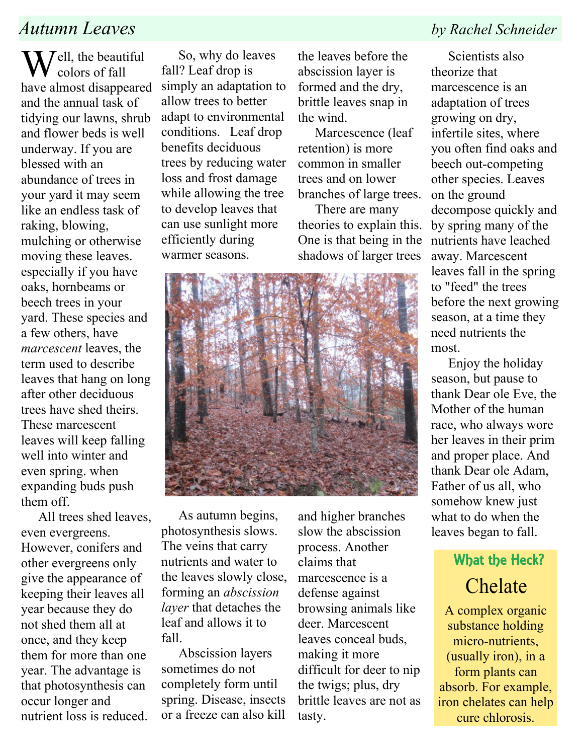### Autumn Leaves by Rachel Schneider

 $\sum$  *J*ell, the beautiful colors of fall have almost disappeared and the annual task of tidying our lawns, shrub and flower beds is well underway. If you are blessed with an abundance of trees in your yard it may seem like an endless task of raking, blowing, mulching or otherwise moving these leaves. especially if you have oaks, hornbeams or beech trees in your yard. These species and a few others, have marcescent leaves, the term used to describe leaves that hang on long after other deciduous trees have shed theirs. These marcescent leaves will keep falling well into winter and even spring. when expanding buds push them off.

All trees shed leaves, even evergreens. However, conifers and other evergreens only give the appearance of keeping their leaves all year because they do not shed them all at once, and they keep them for more than one year. The advantage is that photosynthesis can occur longer and nutrient loss is reduced.

So, why do leaves fall? Leaf drop is simply an adaptation to allow trees to better adapt to environmental conditions. Leaf drop benefits deciduous trees by reducing water loss and frost damage while allowing the tree to develop leaves that can use sunlight more efficiently during warmer seasons.

the leaves before the abscission layer is formed and the dry, brittle leaves snap in the wind.

Marcescence (leaf retention) is more common in smaller trees and on lower branches of large trees.

There are many theories to explain this. One is that being in the shadows of larger trees



As autumn begins, photosynthesis slows. The veins that carry nutrients and water to the leaves slowly close, forming an abscission layer that detaches the leaf and allows it to fall.

Abscission layers sometimes do not completely form until spring. Disease, insects or a freeze can also kill

and higher branches slow the abscission process. Another claims that marcescence is a defense against browsing animals like deer. Marcescent leaves conceal buds, making it more difficult for deer to nip the twigs; plus, dry brittle leaves are not as tasty.

Scientists also theorize that marcescence is an adaptation of trees growing on dry, infertile sites, where you often find oaks and beech out-competing other species. Leaves on the ground decompose quickly and by spring many of the nutrients have leached away. Marcescent leaves fall in the spring to "feed" the trees before the next growing season, at a time they need nutrients the most.

Enjoy the holiday season, but pause to thank Dear ole Eve, the Mother of the human race, who always wore her leaves in their prim and proper place. And thank Dear ole Adam, Father of us all, who somehow knew just what to do when the leaves began to fall.

## What the Heck? Chelate

A complex organic substance holding micro-nutrients, (usually iron), in a form plants can absorb. For example, iron chelates can help cure chlorosis.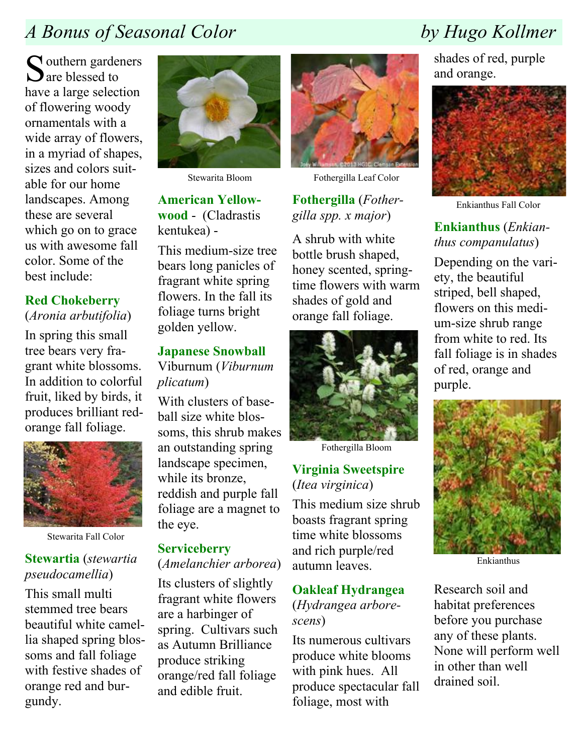## A Bonus of Seasonal Color by Hugo Kollmer

 $\Gamma$  outhern gardeners  $\sum$  are blessed to have a large selection of flowering woody ornamentals with a wide array of flowers, in a myriad of shapes, sizes and colors suitable for our home landscapes. Among these are several which go on to grace us with awesome fall color. Some of the best include:

#### Red Chokeberry (Aronia arbutifolia)

In spring this small tree bears very fragrant white blossoms. In addition to colorful fruit, liked by birds, it produces brilliant redorange fall foliage.



Stewarita Fall Color

### Stewartia (stewartia pseudocamellia)

This small multi stemmed tree bears beautiful white camellia shaped spring blossoms and fall foliage with festive shades of orange red and burgundy.



Stewarita Bloom

American Yellowwood - (Cladrastis kentukea) -

This medium-size tree bears long panicles of fragrant white spring flowers. In the fall its foliage turns bright golden yellow.

#### Japanese Snowball

Viburnum (Viburnum plicatum)

With clusters of baseball size white blossoms, this shrub makes an outstanding spring landscape specimen, while its bronze, reddish and purple fall foliage are a magnet to the eye.

#### **Serviceberry**

#### (Amelanchier arborea)

Its clusters of slightly fragrant white flowers are a harbinger of spring. Cultivars such as Autumn Brilliance produce striking orange/red fall foliage and edible fruit.



Fothergilla Leaf Color

### Fothergilla (Fothergilla spp. x major)

A shrub with white bottle brush shaped, honey scented, springtime flowers with warm shades of gold and orange fall foliage.



Fothergilla Bloom

### Virginia Sweetspire (Itea virginica)

This medium size shrub boasts fragrant spring time white blossoms and rich purple/red autumn leaves.

#### Oakleaf Hydrangea (Hydrangea arborescens)

Its numerous cultivars produce white blooms with pink hues. All produce spectacular fall foliage, most with

shades of red, purple and orange.



Enkianthus Fall Color

### Enkianthus (Enkianthus companulatus)

Depending on the variety, the beautiful striped, bell shaped, flowers on this medium-size shrub range from white to red. Its fall foliage is in shades of red, orange and purple.



Enkianthus

Research soil and habitat preferences before you purchase any of these plants. None will perform well in other than well drained soil.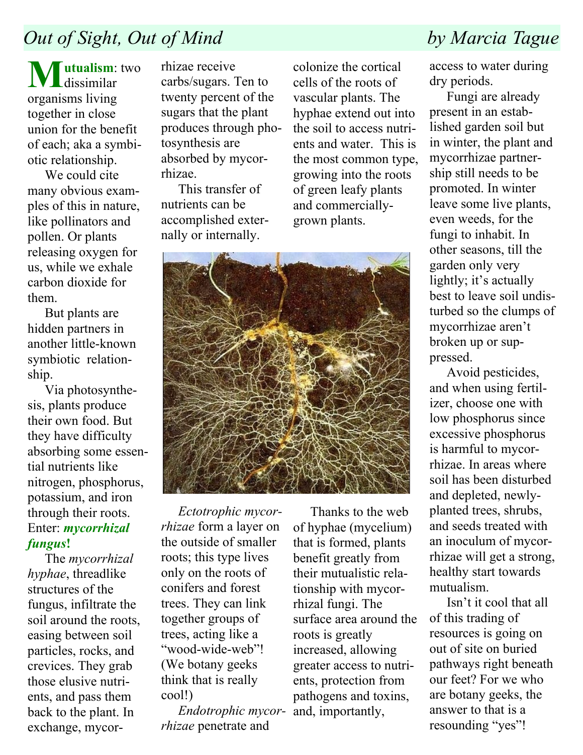## Out of Sight, Out of Mind by Marcia Tague

**Tutualism:** two  $\mathbf{U}$  dissimilar organisms living together in close union for the benefit of each; aka a symbiotic relationship.

We could cite many obvious examples of this in nature, like pollinators and pollen. Or plants releasing oxygen for us, while we exhale carbon dioxide for them.

But plants are hidden partners in another little-known symbiotic relationship.

Via photosynthesis, plants produce their own food. But they have difficulty absorbing some essential nutrients like nitrogen, phosphorus, potassium, and iron through their roots. Enter: mycorrhizal fungus!

The mycorrhizal hyphae, threadlike structures of the fungus, infiltrate the soil around the roots, easing between soil particles, rocks, and crevices. They grab those elusive nutrients, and pass them back to the plant. In exchange, mycor-

rhizae receive carbs/sugars. Ten to twenty percent of the sugars that the plant produces through photosynthesis are absorbed by mycorrhizae.

This transfer of nutrients can be accomplished externally or internally.

colonize the cortical cells of the roots of vascular plants. The hyphae extend out into the soil to access nutrients and water. This is the most common type, growing into the roots of green leafy plants and commerciallygrown plants.



Ectotrophic mycorrhizae form a layer on the outside of smaller roots; this type lives only on the roots of conifers and forest trees. They can link together groups of trees, acting like a "wood-wide-web"! (We botany geeks think that is really cool!)

Endotrophic mycorrhizae penetrate and

Thanks to the web of hyphae (mycelium) that is formed, plants benefit greatly from their mutualistic relationship with mycorrhizal fungi. The surface area around the roots is greatly increased, allowing greater access to nutrients, protection from pathogens and toxins, and, importantly,

access to water during dry periods.

Fungi are already present in an established garden soil but in winter, the plant and mycorrhizae partnership still needs to be promoted. In winter leave some live plants, even weeds, for the fungi to inhabit. In other seasons, till the garden only very lightly; it's actually best to leave soil undisturbed so the clumps of mycorrhizae aren't broken up or suppressed.

Avoid pesticides, and when using fertilizer, choose one with low phosphorus since excessive phosphorus is harmful to mycorrhizae. In areas where soil has been disturbed and depleted, newlyplanted trees, shrubs, and seeds treated with an inoculum of mycorrhizae will get a strong, healthy start towards mutualism.

Isn't it cool that all of this trading of resources is going on out of site on buried pathways right beneath our feet? For we who are botany geeks, the answer to that is a resounding "yes"!